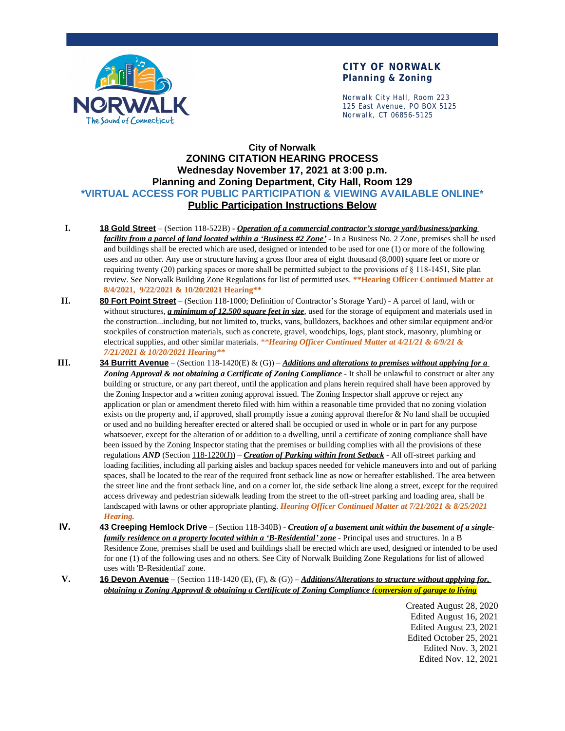

## **CITY OF NORWALK Planning & Zoning**

Norwalk City Hall, Room 223 125 East Avenue, PO BOX 5125 Norwalk, CT 06856-5125

## **City of Norwalk ZONING CITATION HEARING PROCESS Wednesday November 17, 2021 at 3:00 p.m. Planning and Zoning Department, City Hall, Room 129 \*VIRTUAL ACCESS FOR PUBLIC PARTICIPATION & VIEWING AVAILABLE ONLINE\* Public Participation Instructions Below**

- **I. 18 Gold Street** (Section 118-522B) *Operation of a commercial contractor's storage yard/business/parking facility from a parcel of land located within a 'Business #2 Zone'* - In a Business No. 2 Zone, premises shall be used and buildings shall be erected which are used, designed or intended to be used for one (1) or more of the following uses and no other. Any use or structure having a gross floor area of eight thousand (8,000) square feet or more or requiring twenty (20) parking spaces or more shall be permitted subject to the provisions of § 118-1451, Site plan review. See Norwalk Building Zone Regulations for list of permitted uses. **\*\*Hearing Officer Continued Matter at 8/4/2021, 9/22/2021 & 10/20/2021 Hearing\*\***
- **II. 80 Fort Point Street** (Section 118-1000; Definition of Contractor's Storage Yard) A parcel of land, with or without structures, *a minimum of 12,500 square feet in size*, used for the storage of equipment and materials used in the construction...including, but not limited to, trucks, vans, bulldozers, backhoes and other similar equipment and/or stockpiles of construction materials, such as concrete, gravel, woodchips, logs, plant stock, masonry, plumbing or electrical supplies, and other similar materials. *\*\*Hearing Officer Continued Matter at 4/21/21 & 6/9/21 & 7/21/2021 & 10/20/2021 Hearing\*\**
- **III. 34 Burritt Avenue** (Section 118-1420(E) & (G)) *Additions and alterations to premises without applying for a Zoning Approval & not obtaining a Certificate of Zoning Compliance* - It shall be unlawful to construct or alter any building or structure, or any part thereof, until the application and plans herein required shall have been approved by the Zoning Inspector and a written zoning approval issued. The Zoning Inspector shall approve or reject any application or plan or amendment thereto filed with him within a reasonable time provided that no zoning violation exists on the property and, if approved, shall promptly issue a zoning approval therefor & No land shall be occupied or used and no building hereafter erected or altered shall be occupied or used in whole or in part for any purpose whatsoever, except for the alteration of or addition to a dwelling, until a certificate of zoning compliance shall have been issued by the Zoning Inspector stating that the premises or building complies with all the provisions of these regulations *AND* (Section 118-1220(J)) – *Creation of Parking within front Setback* - All off-street parking and loading facilities, including all parking aisles and backup spaces needed for vehicle maneuvers into and out of parking spaces, shall be located to the rear of the required front setback line as now or hereafter established. The area between the street line and the front setback line, and on a corner lot, the side setback line along a street, except for the required access driveway and pedestrian sidewalk leading from the street to the off-street parking and loading area, shall be landscaped with lawns or other appropriate planting. *Hearing Officer Continued Matter at 7/21/2021 & 8/25/2021 Hearing.*
- **IV. 43 Creeping Hemlock Drive** (Section 118-340B) *Creation of a basement unit within the basement of a singlefamily residence on a property located within a 'B-Residential' zone* - Principal uses and structures. In a B Residence Zone, premises shall be used and buildings shall be erected which are used, designed or intended to be used for one (1) of the following uses and no others. See City of Norwalk Building Zone Regulations for list of allowed uses with 'B-Residential' zone.
- **V. 16 Devon Avenue** (Section 118-1420 (E), (F), & (G)) *Additions/Alterations to structure without applying for, obtaining a Zoning Approval & obtaining a Certificate of Zoning Compliance (conversion of garage to living*

Created August 28, 2020 Edited August 16, 2021 Edited August 23, 2021 Edited October 25, 2021 Edited Nov. 3, 2021 Edited Nov. 12, 2021